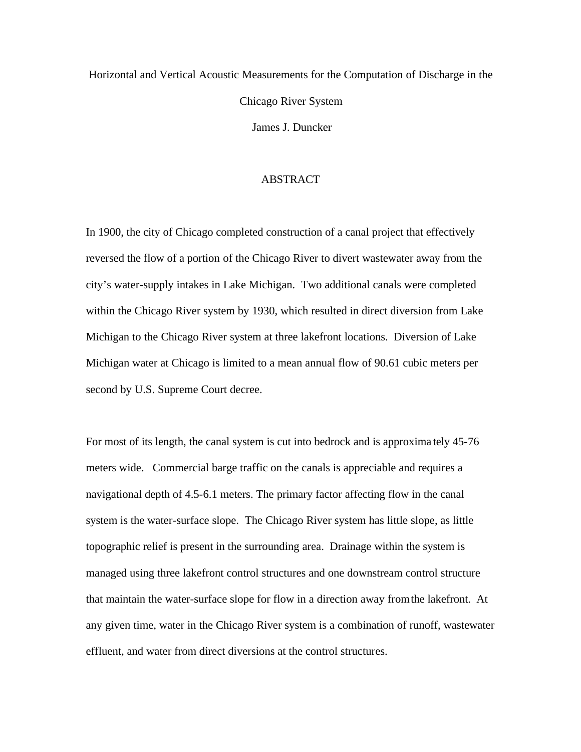# Horizontal and Vertical Acoustic Measurements for the Computation of Discharge in the Chicago River System James J. Duncker

#### ABSTRACT

In 1900, the city of Chicago completed construction of a canal project that effectively reversed the flow of a portion of the Chicago River to divert wastewater away from the city's water-supply intakes in Lake Michigan. Two additional canals were completed within the Chicago River system by 1930, which resulted in direct diversion from Lake Michigan to the Chicago River system at three lakefront locations. Diversion of Lake Michigan water at Chicago is limited to a mean annual flow of 90.61 cubic meters per second by U.S. Supreme Court decree.

For most of its length, the canal system is cut into bedrock and is approxima tely 45-76 meters wide. Commercial barge traffic on the canals is appreciable and requires a navigational depth of 4.5-6.1 meters. The primary factor affecting flow in the canal system is the water-surface slope. The Chicago River system has little slope, as little topographic relief is present in the surrounding area. Drainage within the system is managed using three lakefront control structures and one downstream control structure that maintain the water-surface slope for flow in a direction away from the lakefront. At any given time, water in the Chicago River system is a combination of runoff, wastewater effluent, and water from direct diversions at the control structures.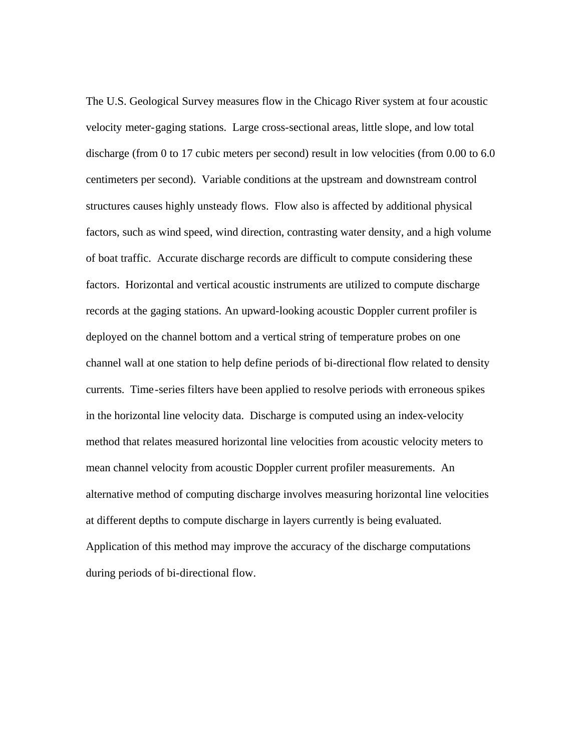The U.S. Geological Survey measures flow in the Chicago River system at four acoustic velocity meter-gaging stations. Large cross-sectional areas, little slope, and low total discharge (from 0 to 17 cubic meters per second) result in low velocities (from 0.00 to 6.0 centimeters per second). Variable conditions at the upstream and downstream control structures causes highly unsteady flows. Flow also is affected by additional physical factors, such as wind speed, wind direction, contrasting water density, and a high volume of boat traffic. Accurate discharge records are difficult to compute considering these factors. Horizontal and vertical acoustic instruments are utilized to compute discharge records at the gaging stations. An upward-looking acoustic Doppler current profiler is deployed on the channel bottom and a vertical string of temperature probes on one channel wall at one station to help define periods of bi-directional flow related to density currents. Time-series filters have been applied to resolve periods with erroneous spikes in the horizontal line velocity data. Discharge is computed using an index-velocity method that relates measured horizontal line velocities from acoustic velocity meters to mean channel velocity from acoustic Doppler current profiler measurements. An alternative method of computing discharge involves measuring horizontal line velocities at different depths to compute discharge in layers currently is being evaluated. Application of this method may improve the accuracy of the discharge computations during periods of bi-directional flow.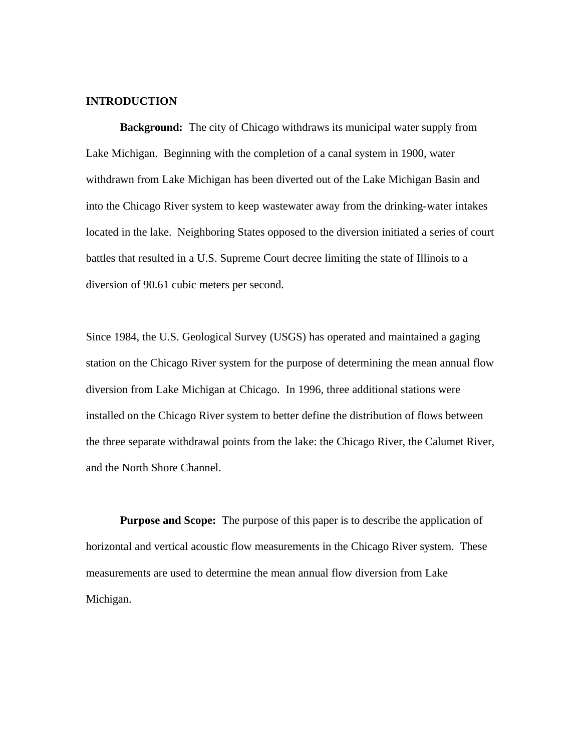## **INTRODUCTION**

**Background:** The city of Chicago withdraws its municipal water supply from Lake Michigan. Beginning with the completion of a canal system in 1900, water withdrawn from Lake Michigan has been diverted out of the Lake Michigan Basin and into the Chicago River system to keep wastewater away from the drinking-water intakes located in the lake. Neighboring States opposed to the diversion initiated a series of court battles that resulted in a U.S. Supreme Court decree limiting the state of Illinois to a diversion of 90.61 cubic meters per second.

Since 1984, the U.S. Geological Survey (USGS) has operated and maintained a gaging station on the Chicago River system for the purpose of determining the mean annual flow diversion from Lake Michigan at Chicago. In 1996, three additional stations were installed on the Chicago River system to better define the distribution of flows between the three separate withdrawal points from the lake: the Chicago River, the Calumet River, and the North Shore Channel.

**Purpose and Scope:** The purpose of this paper is to describe the application of horizontal and vertical acoustic flow measurements in the Chicago River system. These measurements are used to determine the mean annual flow diversion from Lake Michigan.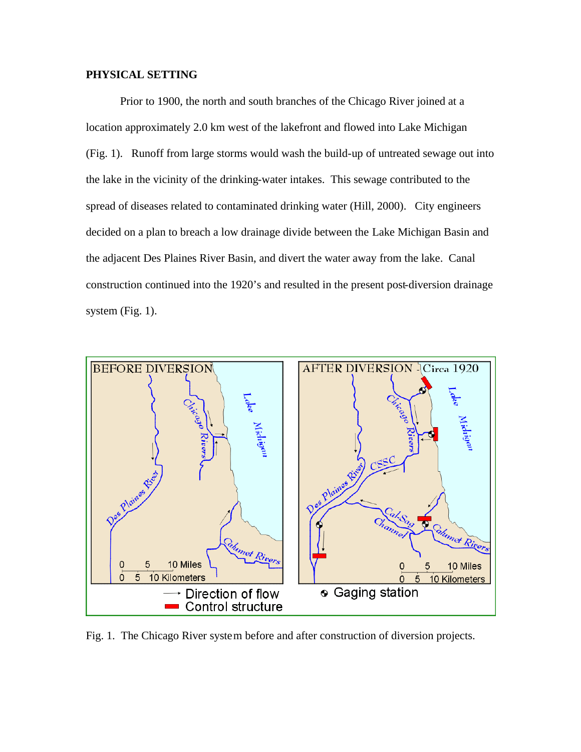# **PHYSICAL SETTING**

Prior to 1900, the north and south branches of the Chicago River joined at a location approximately 2.0 km west of the lakefront and flowed into Lake Michigan (Fig. 1). Runoff from large storms would wash the build-up of untreated sewage out into the lake in the vicinity of the drinking-water intakes. This sewage contributed to the spread of diseases related to contaminated drinking water (Hill, 2000). City engineers decided on a plan to breach a low drainage divide between the Lake Michigan Basin and the adjacent Des Plaines River Basin, and divert the water away from the lake. Canal construction continued into the 1920's and resulted in the present post-diversion drainage system (Fig. 1).



Fig. 1. The Chicago River system before and after construction of diversion projects.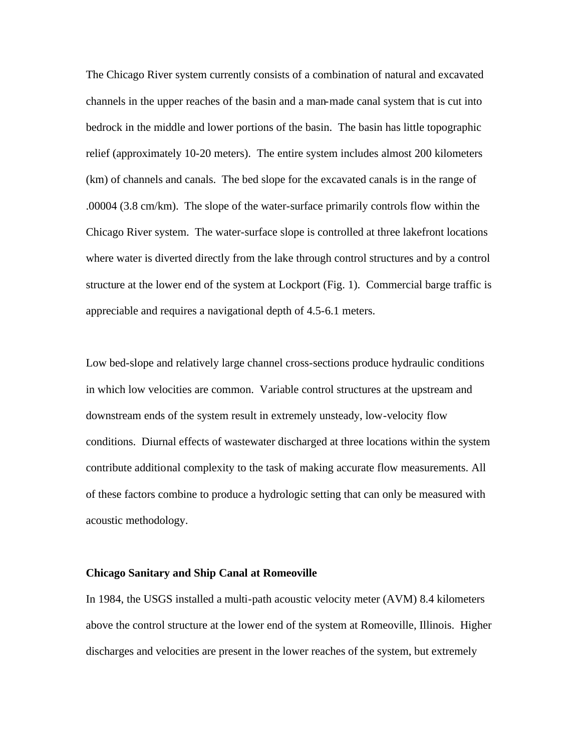The Chicago River system currently consists of a combination of natural and excavated channels in the upper reaches of the basin and a man-made canal system that is cut into bedrock in the middle and lower portions of the basin. The basin has little topographic relief (approximately 10-20 meters). The entire system includes almost 200 kilometers (km) of channels and canals. The bed slope for the excavated canals is in the range of .00004 (3.8 cm/km). The slope of the water-surface primarily controls flow within the Chicago River system. The water-surface slope is controlled at three lakefront locations where water is diverted directly from the lake through control structures and by a control structure at the lower end of the system at Lockport (Fig. 1). Commercial barge traffic is appreciable and requires a navigational depth of 4.5-6.1 meters.

Low bed-slope and relatively large channel cross-sections produce hydraulic conditions in which low velocities are common. Variable control structures at the upstream and downstream ends of the system result in extremely unsteady, low-velocity flow conditions. Diurnal effects of wastewater discharged at three locations within the system contribute additional complexity to the task of making accurate flow measurements. All of these factors combine to produce a hydrologic setting that can only be measured with acoustic methodology.

#### **Chicago Sanitary and Ship Canal at Romeoville**

In 1984, the USGS installed a multi-path acoustic velocity meter (AVM) 8.4 kilometers above the control structure at the lower end of the system at Romeoville, Illinois. Higher discharges and velocities are present in the lower reaches of the system, but extremely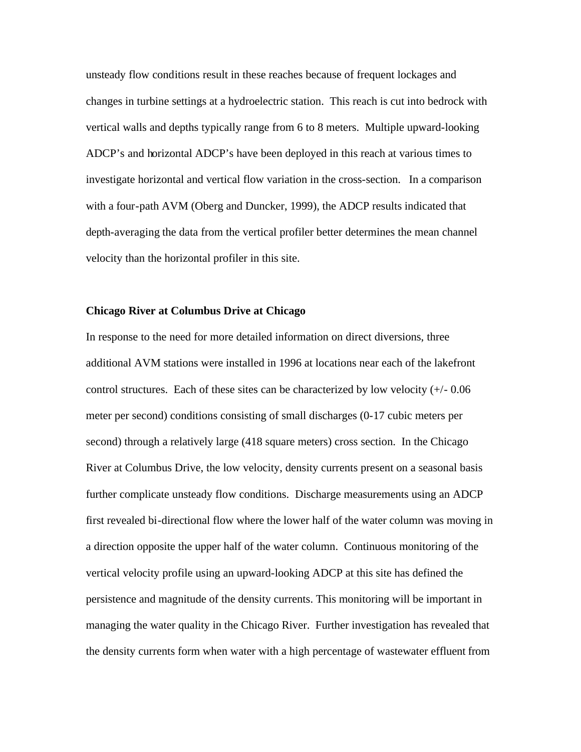unsteady flow conditions result in these reaches because of frequent lockages and changes in turbine settings at a hydroelectric station. This reach is cut into bedrock with vertical walls and depths typically range from 6 to 8 meters. Multiple upward-looking ADCP's and horizontal ADCP's have been deployed in this reach at various times to investigate horizontal and vertical flow variation in the cross-section. In a comparison with a four-path AVM (Oberg and Duncker, 1999), the ADCP results indicated that depth-averaging the data from the vertical profiler better determines the mean channel velocity than the horizontal profiler in this site.

#### **Chicago River at Columbus Drive at Chicago**

In response to the need for more detailed information on direct diversions, three additional AVM stations were installed in 1996 at locations near each of the lakefront control structures. Each of these sites can be characterized by low velocity (+/- 0.06 meter per second) conditions consisting of small discharges (0-17 cubic meters per second) through a relatively large (418 square meters) cross section. In the Chicago River at Columbus Drive, the low velocity, density currents present on a seasonal basis further complicate unsteady flow conditions. Discharge measurements using an ADCP first revealed bi-directional flow where the lower half of the water column was moving in a direction opposite the upper half of the water column. Continuous monitoring of the vertical velocity profile using an upward-looking ADCP at this site has defined the persistence and magnitude of the density currents. This monitoring will be important in managing the water quality in the Chicago River. Further investigation has revealed that the density currents form when water with a high percentage of wastewater effluent from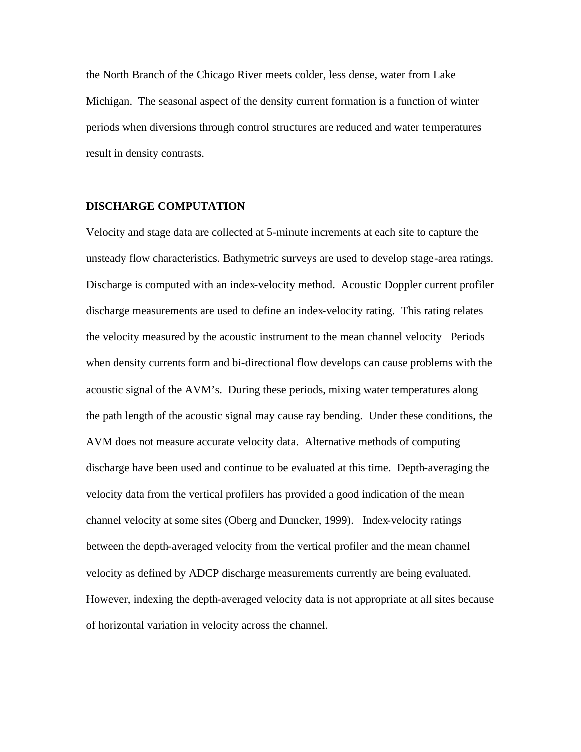the North Branch of the Chicago River meets colder, less dense, water from Lake Michigan. The seasonal aspect of the density current formation is a function of winter periods when diversions through control structures are reduced and water temperatures result in density contrasts.

#### **DISCHARGE COMPUTATION**

Velocity and stage data are collected at 5-minute increments at each site to capture the unsteady flow characteristics. Bathymetric surveys are used to develop stage-area ratings. Discharge is computed with an index-velocity method. Acoustic Doppler current profiler discharge measurements are used to define an index-velocity rating. This rating relates the velocity measured by the acoustic instrument to the mean channel velocity Periods when density currents form and bi-directional flow develops can cause problems with the acoustic signal of the AVM's. During these periods, mixing water temperatures along the path length of the acoustic signal may cause ray bending. Under these conditions, the AVM does not measure accurate velocity data. Alternative methods of computing discharge have been used and continue to be evaluated at this time. Depth-averaging the velocity data from the vertical profilers has provided a good indication of the mean channel velocity at some sites (Oberg and Duncker, 1999). Index-velocity ratings between the depth-averaged velocity from the vertical profiler and the mean channel velocity as defined by ADCP discharge measurements currently are being evaluated. However, indexing the depth-averaged velocity data is not appropriate at all sites because of horizontal variation in velocity across the channel.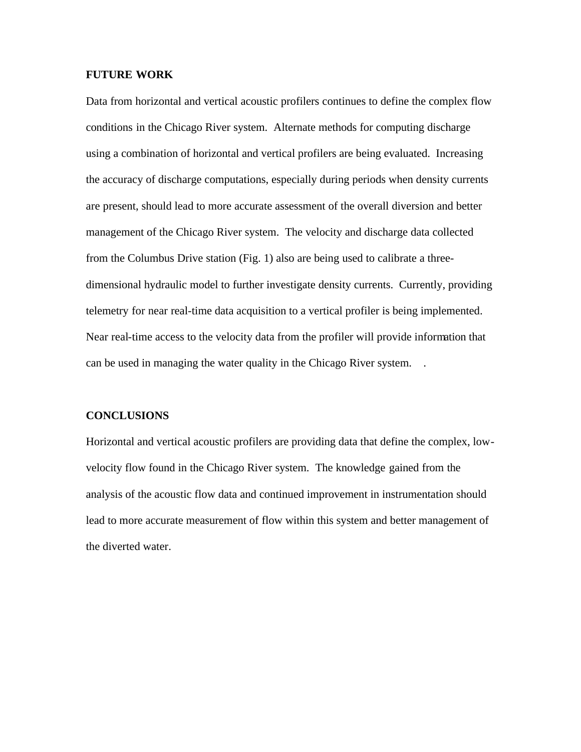# **FUTURE WORK**

Data from horizontal and vertical acoustic profilers continues to define the complex flow conditions in the Chicago River system. Alternate methods for computing discharge using a combination of horizontal and vertical profilers are being evaluated. Increasing the accuracy of discharge computations, especially during periods when density currents are present, should lead to more accurate assessment of the overall diversion and better management of the Chicago River system. The velocity and discharge data collected from the Columbus Drive station (Fig. 1) also are being used to calibrate a threedimensional hydraulic model to further investigate density currents. Currently, providing telemetry for near real-time data acquisition to a vertical profiler is being implemented. Near real-time access to the velocity data from the profiler will provide information that can be used in managing the water quality in the Chicago River system. .

## **CONCLUSIONS**

Horizontal and vertical acoustic profilers are providing data that define the complex, lowvelocity flow found in the Chicago River system. The knowledge gained from the analysis of the acoustic flow data and continued improvement in instrumentation should lead to more accurate measurement of flow within this system and better management of the diverted water.